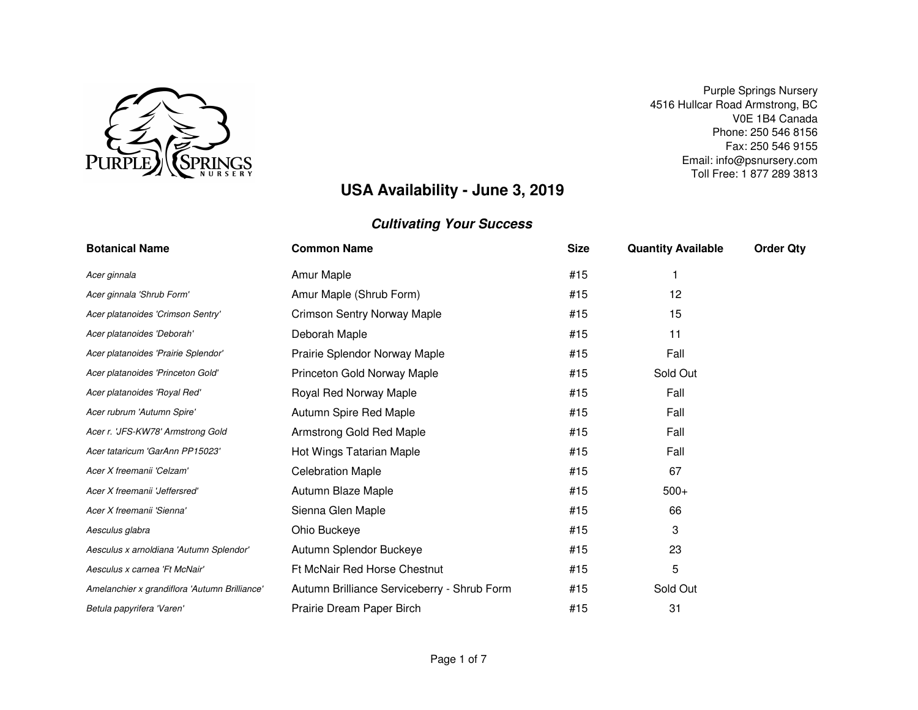

Email: info@psnursery.com Toll Free: 1 877 289 3813Phone: 250 546 8156 Fax: 250 546 9155Purple Springs Nursery 4516 Hullcar Road Armstrong, BCV0E 1B4 Canada

# **USA Availability - June 3, 2019**

| <b>Botanical Name</b>                         | <b>Common Name</b>                          | <b>Size</b> | <b>Quantity Available</b> | <b>Order Qty</b> |
|-----------------------------------------------|---------------------------------------------|-------------|---------------------------|------------------|
| Acer ginnala                                  | Amur Maple                                  | #15         |                           |                  |
| Acer ginnala 'Shrub Form'                     | Amur Maple (Shrub Form)                     | #15         | 12                        |                  |
| Acer platanoides 'Crimson Sentry'             | <b>Crimson Sentry Norway Maple</b>          | #15         | 15                        |                  |
| Acer platanoides 'Deborah'                    | Deborah Maple                               | #15         | 11                        |                  |
| Acer platanoides 'Prairie Splendor'           | Prairie Splendor Norway Maple               | #15         | Fall                      |                  |
| Acer platanoides 'Princeton Gold'             | Princeton Gold Norway Maple                 | #15         | Sold Out                  |                  |
| Acer platanoides 'Royal Red'                  | Royal Red Norway Maple                      | #15         | Fall                      |                  |
| Acer rubrum 'Autumn Spire'                    | Autumn Spire Red Maple                      | #15         | Fall                      |                  |
| Acer r. 'JFS-KW78' Armstrong Gold             | Armstrong Gold Red Maple                    | #15         | Fall                      |                  |
| Acer tataricum 'GarAnn PP15023'               | Hot Wings Tatarian Maple                    | #15         | Fall                      |                  |
| Acer X freemanii 'Celzam'                     | <b>Celebration Maple</b>                    | #15         | 67                        |                  |
| Acer X freemanii 'Jeffersred'                 | Autumn Blaze Maple                          | #15         | $500+$                    |                  |
| Acer X freemanii 'Sienna'                     | Sienna Glen Maple                           | #15         | 66                        |                  |
| Aesculus glabra                               | Ohio Buckeye                                | #15         | 3                         |                  |
| Aesculus x arnoldiana 'Autumn Splendor'       | Autumn Splendor Buckeye                     | #15         | 23                        |                  |
| Aesculus x carnea 'Ft McNair'                 | Ft McNair Red Horse Chestnut                | #15         | 5                         |                  |
| Amelanchier x grandiflora 'Autumn Brilliance' | Autumn Brilliance Serviceberry - Shrub Form | #15         | Sold Out                  |                  |
| Betula papyrifera 'Varen'                     | Prairie Dream Paper Birch                   | #15         | 31                        |                  |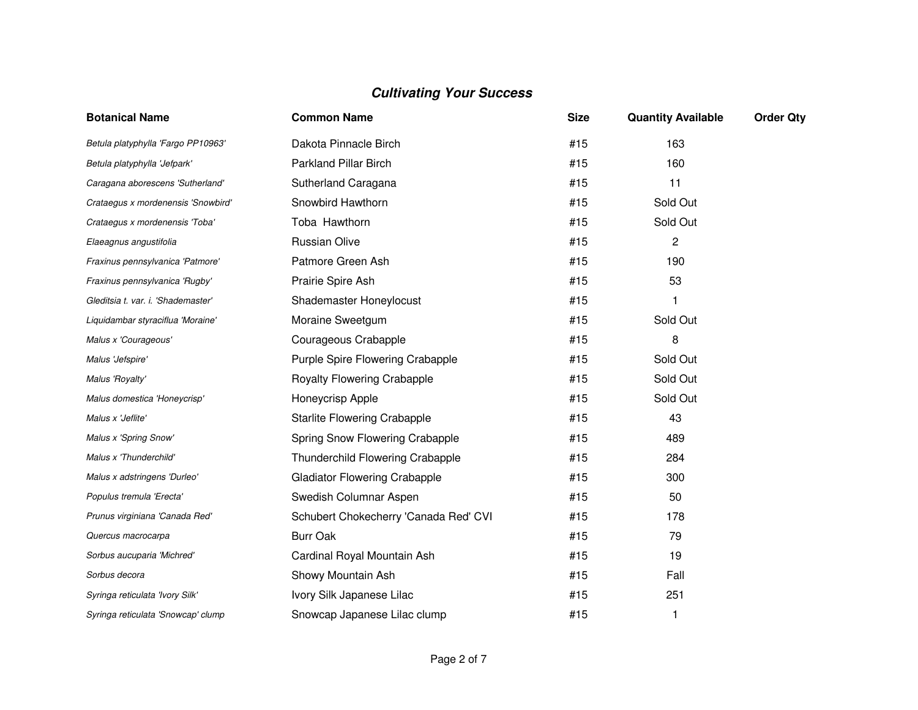| <b>Botanical Name</b>              | <b>Common Name</b>                    | <b>Size</b> | <b>Quantity Available</b> | <b>Order Qty</b> |
|------------------------------------|---------------------------------------|-------------|---------------------------|------------------|
| Betula platyphylla 'Fargo PP10963' | Dakota Pinnacle Birch                 | #15         | 163                       |                  |
| Betula platyphylla 'Jefpark'       | <b>Parkland Pillar Birch</b>          | #15         | 160                       |                  |
| Caragana aborescens 'Sutherland'   | Sutherland Caragana                   | #15         | 11                        |                  |
| Crataegus x mordenensis 'Snowbird' | Snowbird Hawthorn                     | #15         | Sold Out                  |                  |
| Crataegus x mordenensis 'Toba'     | Toba Hawthorn                         | #15         | Sold Out                  |                  |
| Elaeagnus angustifolia             | <b>Russian Olive</b>                  | #15         | 2                         |                  |
| Fraxinus pennsylvanica 'Patmore'   | Patmore Green Ash                     | #15         | 190                       |                  |
| Fraxinus pennsylvanica 'Rugby'     | Prairie Spire Ash                     | #15         | 53                        |                  |
| Gleditsia t. var. i. 'Shademaster' | Shademaster Honeylocust               | #15         |                           |                  |
| Liquidambar styraciflua 'Moraine'  | Moraine Sweetgum                      | #15         | Sold Out                  |                  |
| Malus x 'Courageous'               | Courageous Crabapple                  | #15         | 8                         |                  |
| Malus 'Jefspire'                   | Purple Spire Flowering Crabapple      | #15         | Sold Out                  |                  |
| Malus 'Royalty'                    | <b>Royalty Flowering Crabapple</b>    | #15         | Sold Out                  |                  |
| Malus domestica 'Honeycrisp'       | Honeycrisp Apple                      | #15         | Sold Out                  |                  |
| Malus x 'Jeflite'                  | <b>Starlite Flowering Crabapple</b>   | #15         | 43                        |                  |
| Malus x 'Spring Snow'              | Spring Snow Flowering Crabapple       | #15         | 489                       |                  |
| Malus x 'Thunderchild'             | Thunderchild Flowering Crabapple      | #15         | 284                       |                  |
| Malus x adstringens 'Durleo'       | <b>Gladiator Flowering Crabapple</b>  | #15         | 300                       |                  |
| Populus tremula 'Erecta'           | Swedish Columnar Aspen                | #15         | 50                        |                  |
| Prunus virginiana 'Canada Red'     | Schubert Chokecherry 'Canada Red' CVI | #15         | 178                       |                  |
| Quercus macrocarpa                 | <b>Burr Oak</b>                       | #15         | 79                        |                  |
| Sorbus aucuparia 'Michred'         | Cardinal Royal Mountain Ash           | #15         | 19                        |                  |
| Sorbus decora                      | Showy Mountain Ash                    | #15         | Fall                      |                  |
| Syringa reticulata 'Ivory Silk'    | Ivory Silk Japanese Lilac             | #15         | 251                       |                  |
| Syringa reticulata 'Snowcap' clump | Snowcap Japanese Lilac clump          | #15         | 1                         |                  |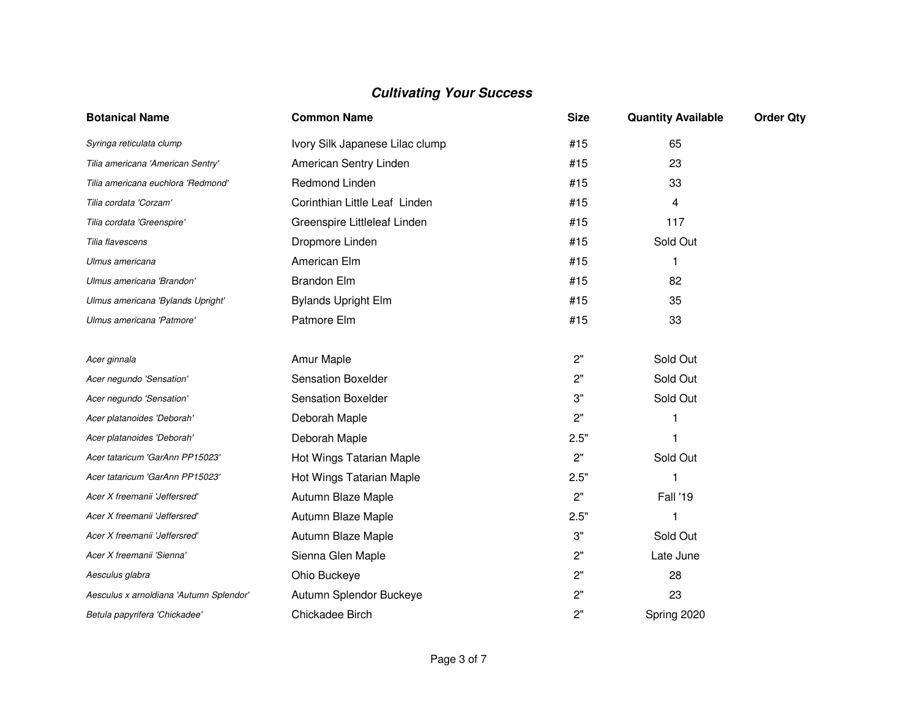| <b>Botanical Name</b>                   | <b>Common Name</b>              | <b>Size</b> | <b>Quantity Available</b> | <b>Order Qty</b> |
|-----------------------------------------|---------------------------------|-------------|---------------------------|------------------|
| Syringa reticulata clump                | Ivory Silk Japanese Lilac clump | #15         | 65                        |                  |
| Tilia americana 'American Sentry'       | American Sentry Linden          | #15         | 23                        |                  |
| Tilia americana euchlora 'Redmond'      | Redmond Linden                  | #15         | 33                        |                  |
| Tilia cordata 'Corzam'                  | Corinthian Little Leaf Linden   | #15         | 4                         |                  |
| Tilia cordata 'Greenspire'              | Greenspire Littleleaf Linden    | #15         | 117                       |                  |
| Tilia flavescens                        | Dropmore Linden                 | #15         | Sold Out                  |                  |
| Ulmus americana                         | American Elm                    | #15         | 1                         |                  |
| Ulmus americana 'Brandon'               | <b>Brandon Elm</b>              | #15         | 82                        |                  |
| Ulmus americana 'Bylands Upright'       | <b>Bylands Upright Elm</b>      | #15         | 35                        |                  |
| Ulmus americana 'Patmore'               | Patmore Elm                     | #15         | 33                        |                  |
|                                         |                                 |             |                           |                  |
| Acer ginnala                            | Amur Maple                      | 2"          | Sold Out                  |                  |
| Acer negundo 'Sensation'                | <b>Sensation Boxelder</b>       | 2"          | Sold Out                  |                  |
| Acer negundo 'Sensation'                | <b>Sensation Boxelder</b>       | 3"          | Sold Out                  |                  |
| Acer platanoides 'Deborah'              | Deborah Maple                   | 2"          |                           |                  |
| Acer platanoides 'Deborah'              | Deborah Maple                   | 2.5"        |                           |                  |
| Acer tataricum 'GarAnn PP15023'         | Hot Wings Tatarian Maple        | 2"          | Sold Out                  |                  |
| Acer tataricum 'GarAnn PP15023'         | Hot Wings Tatarian Maple        | 2.5"        |                           |                  |
| Acer X freemanii 'Jeffersred'           | Autumn Blaze Maple              | 2"          | Fall '19                  |                  |
| Acer X freemanii 'Jeffersred'           | Autumn Blaze Maple              | 2.5"        |                           |                  |
| Acer X freemanii 'Jeffersred'           | Autumn Blaze Maple              | 3"          | Sold Out                  |                  |
| Acer X freemanii 'Sienna'               | Sienna Glen Maple               | 2"          | Late June                 |                  |
| Aesculus glabra                         | Ohio Buckeye                    | 2"          | 28                        |                  |
| Aesculus x arnoldiana 'Autumn Splendor' | Autumn Splendor Buckeye         | 2"          | 23                        |                  |
| Betula papyrifera 'Chickadee'           | Chickadee Birch                 | 2"          | Spring 2020               |                  |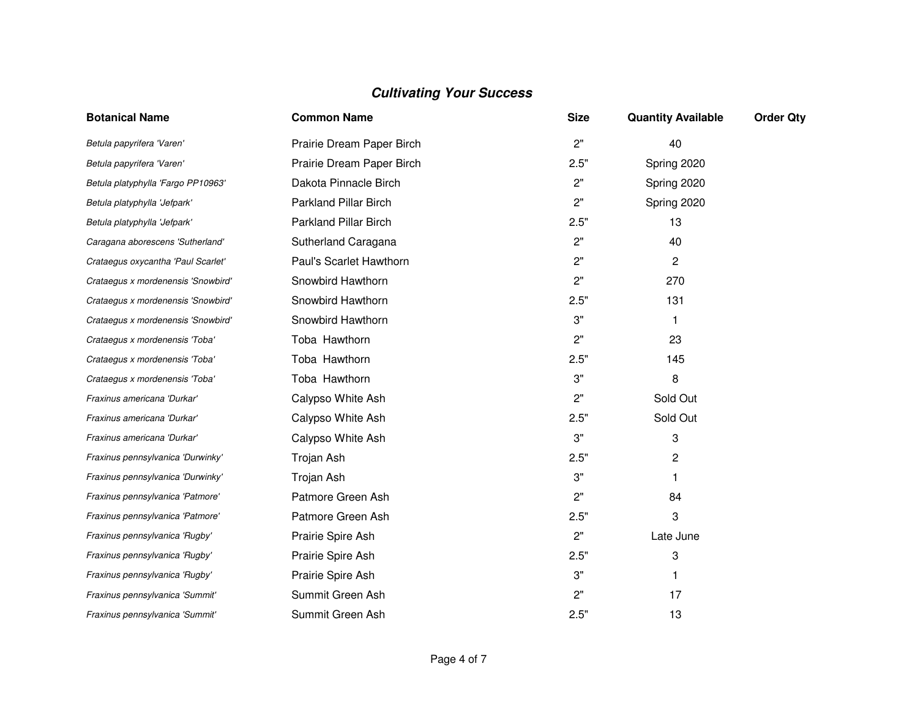| <b>Botanical Name</b>              | <b>Common Name</b>           | <b>Size</b> | <b>Quantity Available</b> | <b>Order Qty</b> |
|------------------------------------|------------------------------|-------------|---------------------------|------------------|
| Betula papyrifera 'Varen'          | Prairie Dream Paper Birch    | 2"          | 40                        |                  |
| Betula papyrifera 'Varen'          | Prairie Dream Paper Birch    | 2.5"        | Spring 2020               |                  |
| Betula platyphylla 'Fargo PP10963' | Dakota Pinnacle Birch        | 2"          | Spring 2020               |                  |
| Betula platyphylla 'Jefpark'       | <b>Parkland Pillar Birch</b> | 2"          | Spring 2020               |                  |
| Betula platyphylla 'Jefpark'       | <b>Parkland Pillar Birch</b> | 2.5"        | 13                        |                  |
| Caragana aborescens 'Sutherland'   | Sutherland Caragana          | 2"          | 40                        |                  |
| Crataegus oxycantha 'Paul Scarlet' | Paul's Scarlet Hawthorn      | 2"          | $\overline{2}$            |                  |
| Crataegus x mordenensis 'Snowbird' | Snowbird Hawthorn            | 2"          | 270                       |                  |
| Crataegus x mordenensis 'Snowbird' | Snowbird Hawthorn            | 2.5"        | 131                       |                  |
| Crataegus x mordenensis 'Snowbird' | Snowbird Hawthorn            | 3"          | -1                        |                  |
| Crataegus x mordenensis 'Toba'     | Toba Hawthorn                | 2"          | 23                        |                  |
| Crataegus x mordenensis 'Toba'     | Toba Hawthorn                | 2.5"        | 145                       |                  |
| Crataegus x mordenensis 'Toba'     | Toba Hawthorn                | 3"          | 8                         |                  |
| Fraxinus americana 'Durkar'        | Calypso White Ash            | 2"          | Sold Out                  |                  |
| Fraxinus americana 'Durkar'        | Calypso White Ash            | 2.5"        | Sold Out                  |                  |
| Fraxinus americana 'Durkar'        | Calypso White Ash            | 3"          | 3                         |                  |
| Fraxinus pennsylvanica 'Durwinky'  | Trojan Ash                   | 2.5"        | 2                         |                  |
| Fraxinus pennsylvanica 'Durwinky'  | Trojan Ash                   | 3"          |                           |                  |
| Fraxinus pennsylvanica 'Patmore'   | Patmore Green Ash            | 2"          | 84                        |                  |
| Fraxinus pennsylvanica 'Patmore'   | Patmore Green Ash            | 2.5"        | 3                         |                  |
| Fraxinus pennsylvanica 'Rugby'     | Prairie Spire Ash            | 2"          | Late June                 |                  |
| Fraxinus pennsylvanica 'Rugby'     | Prairie Spire Ash            | 2.5"        | 3                         |                  |
| Fraxinus pennsylvanica 'Rugby'     | Prairie Spire Ash            | 3"          | 1                         |                  |
| Fraxinus pennsylvanica 'Summit'    | Summit Green Ash             | 2"          | 17                        |                  |
| Fraxinus pennsylvanica 'Summit'    | Summit Green Ash             | 2.5"        | 13                        |                  |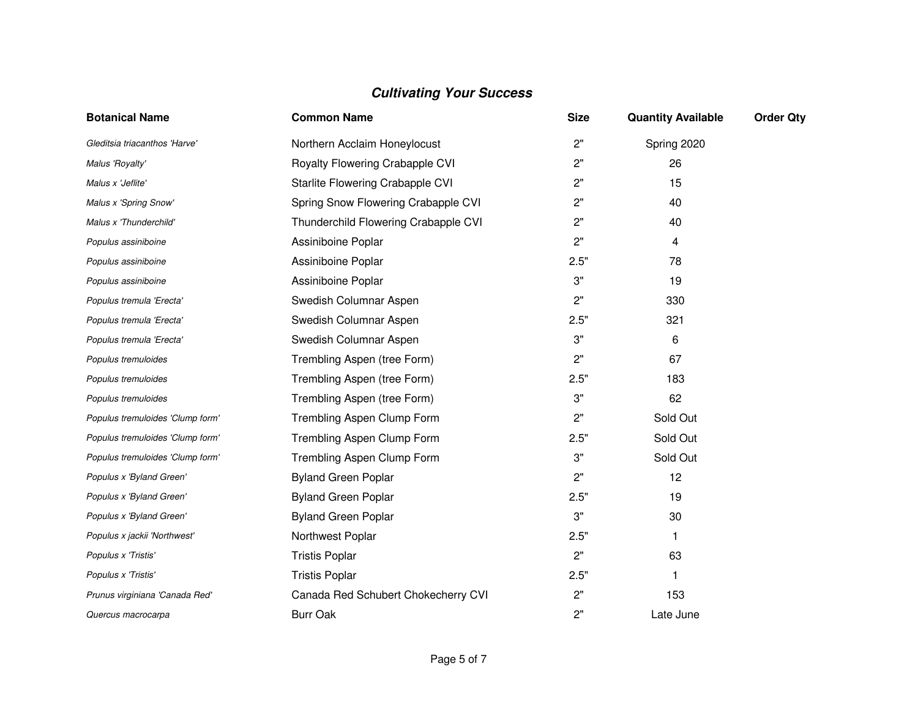| <b>Botanical Name</b>            | <b>Common Name</b>                   | <b>Size</b> | <b>Quantity Available</b> | <b>Order Qty</b> |
|----------------------------------|--------------------------------------|-------------|---------------------------|------------------|
| Gleditsia triacanthos 'Harve'    | Northern Acclaim Honeylocust         | 2"          | Spring 2020               |                  |
| Malus 'Royalty'                  | Royalty Flowering Crabapple CVI      | 2"          | 26                        |                  |
| Malus x 'Jeflite'                | Starlite Flowering Crabapple CVI     | 2"          | 15                        |                  |
| Malus x 'Spring Snow'            | Spring Snow Flowering Crabapple CVI  | 2"          | 40                        |                  |
| Malus x 'Thunderchild'           | Thunderchild Flowering Crabapple CVI | 2"          | 40                        |                  |
| Populus assiniboine              | Assiniboine Poplar                   | 2"          | 4                         |                  |
| Populus assiniboine              | Assiniboine Poplar                   | 2.5"        | 78                        |                  |
| Populus assiniboine              | Assiniboine Poplar                   | 3"          | 19                        |                  |
| Populus tremula 'Erecta'         | Swedish Columnar Aspen               | 2"          | 330                       |                  |
| Populus tremula 'Erecta'         | Swedish Columnar Aspen               | 2.5"        | 321                       |                  |
| Populus tremula 'Erecta'         | Swedish Columnar Aspen               | 3"          | 6                         |                  |
| Populus tremuloides              | Trembling Aspen (tree Form)          | 2"          | 67                        |                  |
| Populus tremuloides              | Trembling Aspen (tree Form)          | 2.5"        | 183                       |                  |
| Populus tremuloides              | Trembling Aspen (tree Form)          | 3"          | 62                        |                  |
| Populus tremuloides 'Clump form' | Trembling Aspen Clump Form           | 2"          | Sold Out                  |                  |
| Populus tremuloides 'Clump form' | Trembling Aspen Clump Form           | 2.5"        | Sold Out                  |                  |
| Populus tremuloides 'Clump form' | Trembling Aspen Clump Form           | 3"          | Sold Out                  |                  |
| Populus x 'Byland Green'         | <b>Byland Green Poplar</b>           | 2"          | 12                        |                  |
| Populus x 'Byland Green'         | <b>Byland Green Poplar</b>           | 2.5"        | 19                        |                  |
| Populus x 'Byland Green'         | <b>Byland Green Poplar</b>           | 3"          | 30                        |                  |
| Populus x jackii 'Northwest'     | Northwest Poplar                     | 2.5"        | 1                         |                  |
| Populus x 'Tristis'              | <b>Tristis Poplar</b>                | 2"          | 63                        |                  |
| Populus x 'Tristis'              | <b>Tristis Poplar</b>                | 2.5"        | 1                         |                  |
| Prunus virginiana 'Canada Red'   | Canada Red Schubert Chokecherry CVI  | 2"          | 153                       |                  |
| Quercus macrocarpa               | <b>Burr Oak</b>                      | 2"          | Late June                 |                  |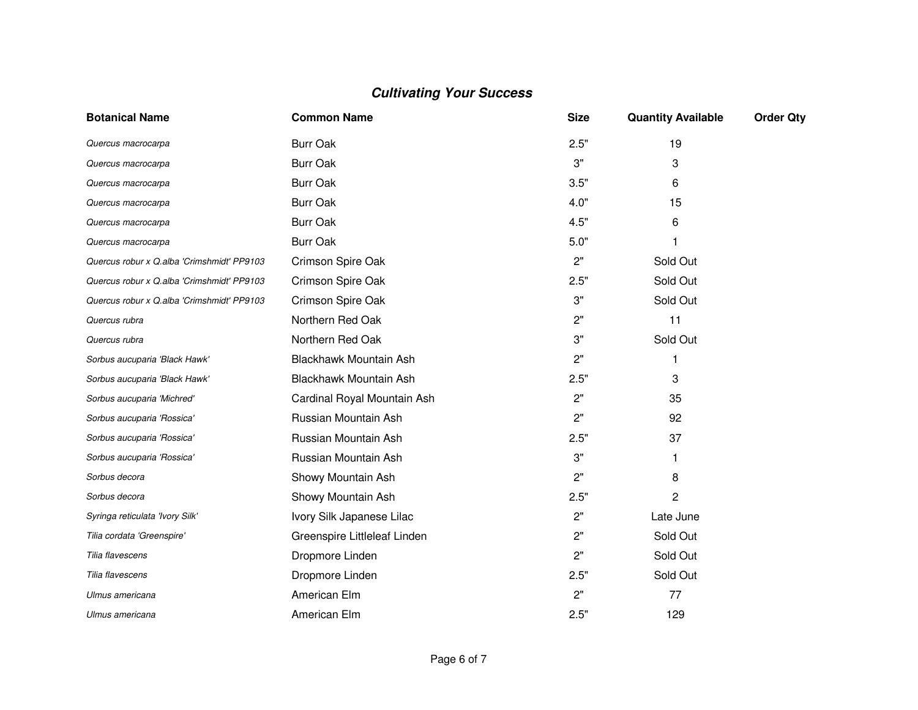| <b>Botanical Name</b>                      | <b>Common Name</b>           | <b>Size</b> | <b>Quantity Available</b> | <b>Order Qty</b> |
|--------------------------------------------|------------------------------|-------------|---------------------------|------------------|
| Quercus macrocarpa                         | <b>Burr Oak</b>              | 2.5"        | 19                        |                  |
| Quercus macrocarpa                         | <b>Burr Oak</b>              | 3"          | 3                         |                  |
| Quercus macrocarpa                         | <b>Burr Oak</b>              | 3.5"        | 6                         |                  |
| Quercus macrocarpa                         | <b>Burr Oak</b>              | 4.0"        | 15                        |                  |
| Quercus macrocarpa                         | <b>Burr Oak</b>              | 4.5"        | 6                         |                  |
| Quercus macrocarpa                         | <b>Burr Oak</b>              | 5.0"        |                           |                  |
| Quercus robur x Q.alba 'Crimshmidt' PP9103 | Crimson Spire Oak            | 2"          | Sold Out                  |                  |
| Quercus robur x Q.alba 'Crimshmidt' PP9103 | Crimson Spire Oak            | 2.5"        | Sold Out                  |                  |
| Quercus robur x Q.alba 'Crimshmidt' PP9103 | Crimson Spire Oak            | 3"          | Sold Out                  |                  |
| Quercus rubra                              | Northern Red Oak             | 2"          | 11                        |                  |
| Quercus rubra                              | Northern Red Oak             | 3"          | Sold Out                  |                  |
| Sorbus aucuparia 'Black Hawk'              | Blackhawk Mountain Ash       | 2"          | 1                         |                  |
| Sorbus aucuparia 'Black Hawk'              | Blackhawk Mountain Ash       | 2.5"        | 3                         |                  |
| Sorbus aucuparia 'Michred'                 | Cardinal Royal Mountain Ash  | 2"          | 35                        |                  |
| Sorbus aucuparia 'Rossica'                 | Russian Mountain Ash         | 2"          | 92                        |                  |
| Sorbus aucuparia 'Rossica'                 | Russian Mountain Ash         | 2.5"        | 37                        |                  |
| Sorbus aucuparia 'Rossica'                 | Russian Mountain Ash         | 3"          | 1                         |                  |
| Sorbus decora                              | Showy Mountain Ash           | 2"          | 8                         |                  |
| Sorbus decora                              | Showy Mountain Ash           | 2.5"        | 2                         |                  |
| Syringa reticulata 'Ivory Silk'            | Ivory Silk Japanese Lilac    | 2"          | Late June                 |                  |
| Tilia cordata 'Greenspire'                 | Greenspire Littleleaf Linden | 2"          | Sold Out                  |                  |
| Tilia flavescens                           | Dropmore Linden              | 2"          | Sold Out                  |                  |
| Tilia flavescens                           | Dropmore Linden              | 2.5"        | Sold Out                  |                  |
| Ulmus americana                            | American Elm                 | 2"          | 77                        |                  |
| Ulmus americana                            | American Elm                 | 2.5"        | 129                       |                  |
|                                            |                              |             |                           |                  |